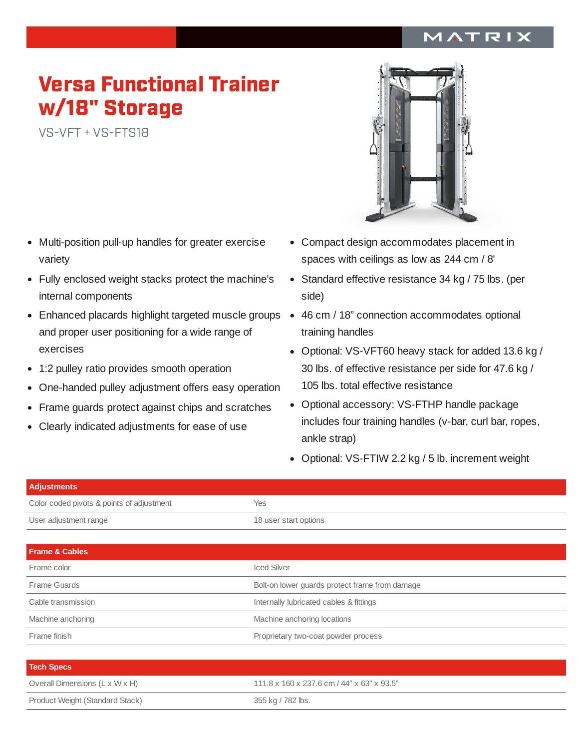## MATRIX

## Versa Functional Trainer w/18" Storage

VS-VFT <sup>+</sup> VS-FTS18

- Multi-position pull-up handles for greater exercise  $\bullet$ variety
- Fully enclosed weight stacks protect the machine's internal components
- Enhanced placards highlight targeted muscle groups 46 cm / 18" connection accommodates optional and proper user positioning for a wide range of exercises
- 1:2 pulley ratio provides smooth operation  $\bullet$
- One-handed pulley adjustment offers easy operation  $\bullet$
- Frame guards protect against chips and scratches  $\bullet$
- Clearly indicated adjustments for ease of use



- Compact design accommodates placement in spaces with ceilings as low as 244 cm / 8'
- Standard effective resistance 34 kg / 75 lbs. (per side)
- training handles
- Optional: VS-VFT60 heavy stack for added 13.6 kg / 30 lbs. of effective resistance per side for 47.6 kg / 105 lbs. total effective resistance
- Optional accessory: VS-FTHP handle package includes four training handles (v-bar, curl bar, ropes, ankle strap)
- Optional: VS-FTIW 2.2 kg / 5 lb. increment weight

| <b>Adjustments</b>                        |                                                |  |
|-------------------------------------------|------------------------------------------------|--|
| Color coded pivots & points of adjustment | Yes                                            |  |
| User adjustment range                     | 18 user start options                          |  |
|                                           |                                                |  |
| <b>Frame &amp; Cables</b>                 |                                                |  |
| Frame color                               | <b>Iced Silver</b>                             |  |
| Frame Guards                              | Bolt-on lower guards protect frame from damage |  |
| Cable transmission                        | Internally lubricated cables & fittings        |  |
| Machine anchoring                         | Machine anchoring locations                    |  |
| Frame finish                              | Proprietary two-coat powder process            |  |
|                                           |                                                |  |
| <b>Tech Specs</b>                         |                                                |  |

| <b>Tech Specs</b>               |                                            |
|---------------------------------|--------------------------------------------|
| Overall Dimensions (L x W x H)  | 111.8 x 160 x 237.6 cm / 44" x 63" x 93.5" |
| Product Weight (Standard Stack) | 355 kg / 782 lbs.                          |